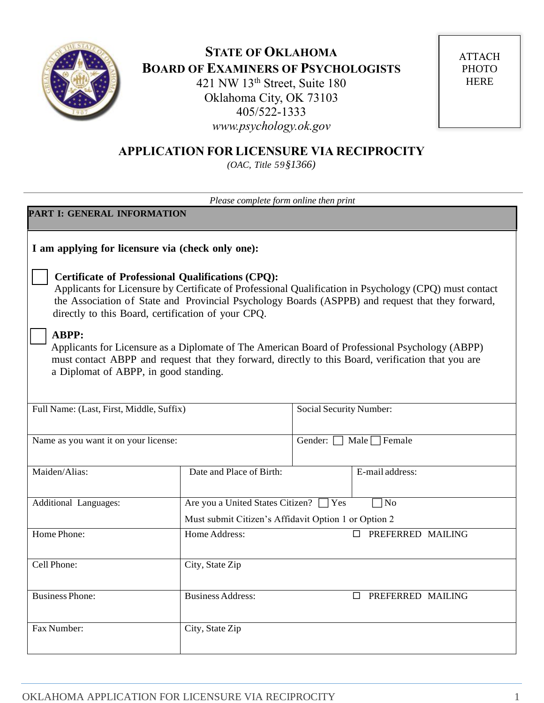

# **STATE OF OKLAHOMA BOARD OF EXAMINERS OF PSYCHOLOGISTS** 421 NW 13th Street, Suite 180

Oklahoma City, OK 73103 405/522-1333 *www.psychology.ok.gov*

**ATTACH** PHOTO HERE

# **APPLICATION FOR LICENSURE VIA RECIPROCITY**

*(OAC, Title 59§1366)*

| Please complete form online then print                |                                                                                                                |                                                     |                                                                                                                                                                                                            |
|-------------------------------------------------------|----------------------------------------------------------------------------------------------------------------|-----------------------------------------------------|------------------------------------------------------------------------------------------------------------------------------------------------------------------------------------------------------------|
| PART I: GENERAL INFORMATION                           |                                                                                                                |                                                     |                                                                                                                                                                                                            |
| I am applying for licensure via (check only one):     |                                                                                                                |                                                     |                                                                                                                                                                                                            |
|                                                       | <b>Certificate of Professional Qualifications (CPQ):</b><br>directly to this Board, certification of your CPQ. |                                                     | Applicants for Licensure by Certificate of Professional Qualification in Psychology (CPQ) must contact<br>the Association of State and Provincial Psychology Boards (ASPPB) and request that they forward, |
| <b>ABPP:</b><br>a Diplomat of ABPP, in good standing. |                                                                                                                |                                                     | Applicants for Licensure as a Diplomate of The American Board of Professional Psychology (ABPP)<br>must contact ABPP and request that they forward, directly to this Board, verification that you are      |
| Full Name: (Last, First, Middle, Suffix)              |                                                                                                                | Social Security Number:                             |                                                                                                                                                                                                            |
| Name as you want it on your license:                  |                                                                                                                | Gender:<br>Male $\Box$ Female                       |                                                                                                                                                                                                            |
| Maiden/Alias:                                         | Date and Place of Birth:                                                                                       |                                                     | E-mail address:                                                                                                                                                                                            |
| Additional Languages:                                 |                                                                                                                | Are you a United States Citizen? □ Yes<br>$\neg$ No |                                                                                                                                                                                                            |
|                                                       | Must submit Citizen's Affidavit Option 1 or Option 2                                                           |                                                     |                                                                                                                                                                                                            |
| Home Phone:                                           | Home Address:                                                                                                  | PREFERRED MAILING<br>$\Box$                         |                                                                                                                                                                                                            |
| Cell Phone:                                           | City, State Zip                                                                                                |                                                     |                                                                                                                                                                                                            |
| <b>Business Phone:</b>                                | <b>Business Address:</b>                                                                                       | <b>D</b> PREFERRED MAILING                          |                                                                                                                                                                                                            |
| Fax Number:                                           | City, State Zip                                                                                                |                                                     |                                                                                                                                                                                                            |
|                                                       |                                                                                                                |                                                     |                                                                                                                                                                                                            |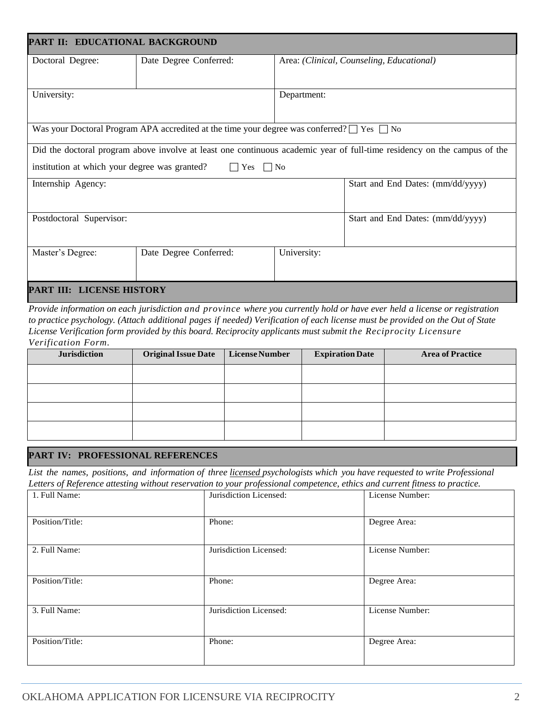| PART II: EDUCATIONAL BACKGROUND                                                                                          |                                                                                                      |             |                                   |  |
|--------------------------------------------------------------------------------------------------------------------------|------------------------------------------------------------------------------------------------------|-------------|-----------------------------------|--|
| Doctoral Degree:                                                                                                         | Date Degree Conferred:<br>Area: (Clinical, Counseling, Educational)                                  |             |                                   |  |
|                                                                                                                          |                                                                                                      |             |                                   |  |
| University:                                                                                                              |                                                                                                      | Department: |                                   |  |
|                                                                                                                          |                                                                                                      |             |                                   |  |
|                                                                                                                          | Was your Doctoral Program APA accredited at the time your degree was conferred? $\Box$ Yes $\Box$ No |             |                                   |  |
| Did the doctoral program above involve at least one continuous academic year of full-time residency on the campus of the |                                                                                                      |             |                                   |  |
| institution at which your degree was granted?<br>$\Box$ No<br>Yes<br>$\mathsf{L}$                                        |                                                                                                      |             |                                   |  |
| Internship Agency:                                                                                                       |                                                                                                      |             | Start and End Dates: (mm/dd/yyyy) |  |
|                                                                                                                          |                                                                                                      |             |                                   |  |
| Postdoctoral Supervisor:                                                                                                 |                                                                                                      |             | Start and End Dates: (mm/dd/yyyy) |  |
|                                                                                                                          |                                                                                                      |             |                                   |  |
| Master's Degree:                                                                                                         | Date Degree Conferred:                                                                               | University: |                                   |  |
|                                                                                                                          |                                                                                                      |             |                                   |  |
| PART III: LICENSE HISTORY                                                                                                |                                                                                                      |             |                                   |  |

*Provide information on each jurisdiction and province where you currently hold or have ever held a license or registration to practice psychology. (Attach additional pages if needed) Verification of each license must be provided on the Out of State License Verification form provided by this board. Reciprocity applicants must submit the Reciprocity Licensure Verification Form.*

| <b>Jurisdiction</b> | <b>Original Issue Date</b> | License Number | <b>Expiration Date</b> | <b>Area of Practice</b> |
|---------------------|----------------------------|----------------|------------------------|-------------------------|
|                     |                            |                |                        |                         |
|                     |                            |                |                        |                         |
|                     |                            |                |                        |                         |
|                     |                            |                |                        |                         |

#### **PART IV: PROFESSIONAL REFERENCES**

*List the names, positions, and information of three licensed psychologists which you have requested to write Professional Letters of Reference attesting without reservation to your professional competence, ethics and current fitness to practice.*

| 1. Full Name:   | Jurisdiction Licensed: | License Number: |
|-----------------|------------------------|-----------------|
| Position/Title: | Phone:                 | Degree Area:    |
| 2. Full Name:   | Jurisdiction Licensed: | License Number: |
| Position/Title: | Phone:                 | Degree Area:    |
| 3. Full Name:   | Jurisdiction Licensed: | License Number: |
| Position/Title: | Phone:                 | Degree Area:    |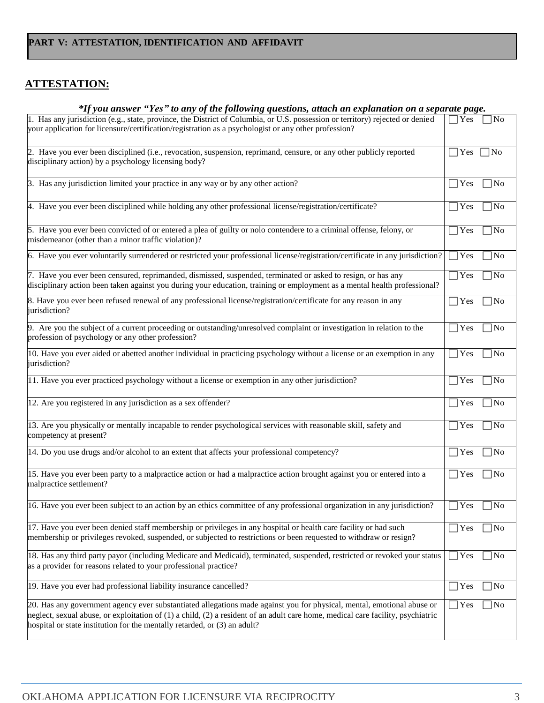## **ATTESTATION:**

#### *\*If you answer "Yes" to any of the following questions, attach an explanation on a separate page.*

| 1. Has any jurisdiction (e.g., state, province, the District of Columbia, or U.S. possession or territory) rejected or denied                                              | Yes           | 7No                 |
|----------------------------------------------------------------------------------------------------------------------------------------------------------------------------|---------------|---------------------|
| your application for licensure/certification/registration as a psychologist or any other profession?                                                                       |               |                     |
|                                                                                                                                                                            |               |                     |
| 2. Have you ever been disciplined (i.e., revocation, suspension, reprimand, censure, or any other publicly reported                                                        | $\exists$ Yes | ∣No                 |
| disciplinary action) by a psychology licensing body?                                                                                                                       |               |                     |
| 3. Has any jurisdiction limited your practice in any way or by any other action?                                                                                           | Yes           | ]No                 |
|                                                                                                                                                                            |               |                     |
| 4. Have you ever been disciplined while holding any other professional license/registration/certificate?                                                                   | Yes           | ∏No                 |
| 5. Have you ever been convicted of or entered a plea of guilty or nolo contendere to a criminal offense, felony, or<br>misdemeanor (other than a minor traffic violation)? | Yes           | ]No                 |
| 6. Have you ever voluntarily surrendered or restricted your professional license/registration/certificate in any jurisdiction?                                             | Yes           | $\overline{\rm No}$ |
| 7. Have you ever been censured, reprimanded, dismissed, suspended, terminated or asked to resign, or has any                                                               | Yes           | 7No                 |
| disciplinary action been taken against you during your education, training or employment as a mental health professional?                                                  |               |                     |
| 8. Have you ever been refused renewal of any professional license/registration/certificate for any reason in any                                                           | Yes           | $\sqrt{ }$ No       |
| jurisdiction?                                                                                                                                                              |               |                     |
| 9. Are you the subject of a current proceeding or outstanding/unresolved complaint or investigation in relation to the                                                     | Yes           | No                  |
| profession of psychology or any other profession?                                                                                                                          |               |                     |
| 10. Have you ever aided or abetted another individual in practicing psychology without a license or an exemption in any                                                    | $\exists$ Yes | 7No                 |
| jurisdiction?                                                                                                                                                              |               |                     |
| 11. Have you ever practiced psychology without a license or exemption in any other jurisdiction?                                                                           | Yes           | No                  |
| 12. Are you registered in any jurisdiction as a sex offender?                                                                                                              | Yes           | 7No                 |
| 13. Are you physically or mentally incapable to render psychological services with reasonable skill, safety and                                                            | Yes           | ∏No                 |
| competency at present?                                                                                                                                                     |               |                     |
| 14. Do you use drugs and/or alcohol to an extent that affects your professional competency?                                                                                | Yes           | 7N <sub>0</sub>     |
|                                                                                                                                                                            |               |                     |
| 15. Have you ever been party to a malpractice action or had a malpractice action brought against you or entered into a                                                     | Yes           | No                  |
| malpractice settlement?                                                                                                                                                    |               |                     |
| 16. Have you ever been subject to an action by an ethics committee of any professional organization in any jurisdiction?                                                   | Yes           | No                  |
|                                                                                                                                                                            |               |                     |
| 17. Have you ever been denied staff membership or privileges in any hospital or health care facility or had such                                                           | $\exists$ Yes | ]No                 |
| membership or privileges revoked, suspended, or subjected to restrictions or been requested to withdraw or resign?                                                         |               |                     |
| 18. Has any third party payor (including Medicare and Medicaid), terminated, suspended, restricted or revoked your status                                                  | $7$ Yes       | $\n  1$ No          |
| as a provider for reasons related to your professional practice?                                                                                                           |               |                     |
|                                                                                                                                                                            |               |                     |
| 19. Have you ever had professional liability insurance cancelled?                                                                                                          | Yes           | No                  |
| 20. Has any government agency ever substantiated allegations made against you for physical, mental, emotional abuse or                                                     | Yes           | $\exists$ No        |
| neglect, sexual abuse, or exploitation of (1) a child, (2) a resident of an adult care home, medical care facility, psychiatric                                            |               |                     |
| hospital or state institution for the mentally retarded, or (3) an adult?                                                                                                  |               |                     |